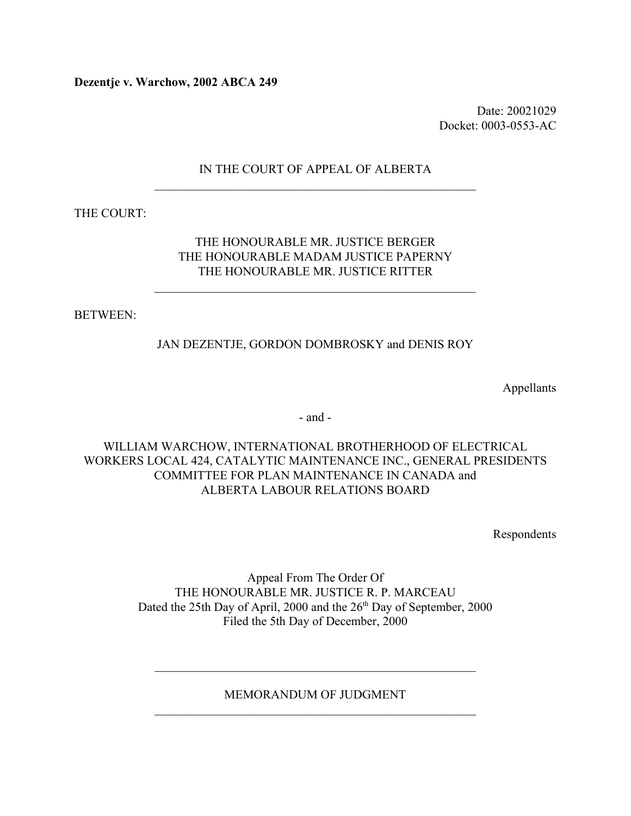**Dezentje v. Warchow, 2002 ABCA 249**

Date: 20021029 Docket: 0003-0553-AC

## IN THE COURT OF APPEAL OF ALBERTA  $\mathcal{L}_\text{max}$  , and the contract of the contract of the contract of the contract of the contract of the contract of

THE COURT:

### THE HONOURABLE MR. JUSTICE BERGER THE HONOURABLE MADAM JUSTICE PAPERNY THE HONOURABLE MR. JUSTICE RITTER

 $\mathcal{L}_\text{max}$  and the contract of the contract of the contract of the contract of the contract of the contract of the contract of the contract of the contract of the contract of the contract of the contract of the contrac

BETWEEN:

## JAN DEZENTJE, GORDON DOMBROSKY and DENIS ROY

Appellants

- and -

## WILLIAM WARCHOW, INTERNATIONAL BROTHERHOOD OF ELECTRICAL WORKERS LOCAL 424, CATALYTIC MAINTENANCE INC., GENERAL PRESIDENTS COMMITTEE FOR PLAN MAINTENANCE IN CANADA and ALBERTA LABOUR RELATIONS BOARD

Respondents

Appeal From The Order Of THE HONOURABLE MR. JUSTICE R. P. MARCEAU Dated the 25th Day of April, 2000 and the 26<sup>th</sup> Day of September, 2000 Filed the 5th Day of December, 2000

MEMORANDUM OF JUDGMENT  $\mathcal{L}_\text{max}$  , and the contract of the contract of the contract of the contract of the contract of the contract of the contract of the contract of the contract of the contract of the contract of the contract of the contr

 $\mathcal{L}_\text{max}$  , and the contract of the contract of the contract of the contract of the contract of the contract of the contract of the contract of the contract of the contract of the contract of the contract of the contr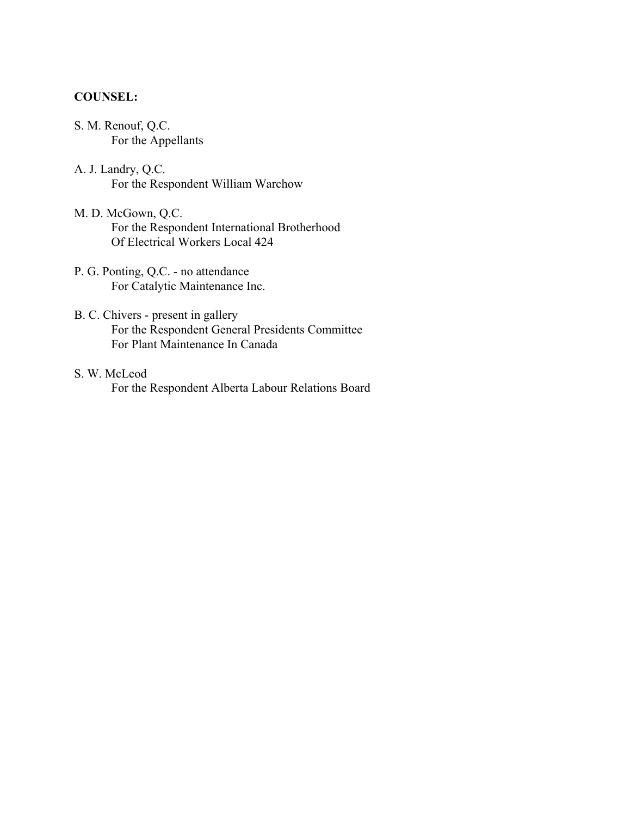### **COUNSEL:**

- S. M. Renouf, Q.C. For the Appellants
- A. J. Landry, Q.C. For the Respondent William Warchow
- M. D. McGown, Q.C. For the Respondent International Brotherhood Of Electrical Workers Local 424
- P. G. Ponting, Q.C. no attendance For Catalytic Maintenance Inc.
- B. C. Chivers present in gallery For the Respondent General Presidents Committee For Plant Maintenance In Canada
- S. W. McLeod For the Respondent Alberta Labour Relations Board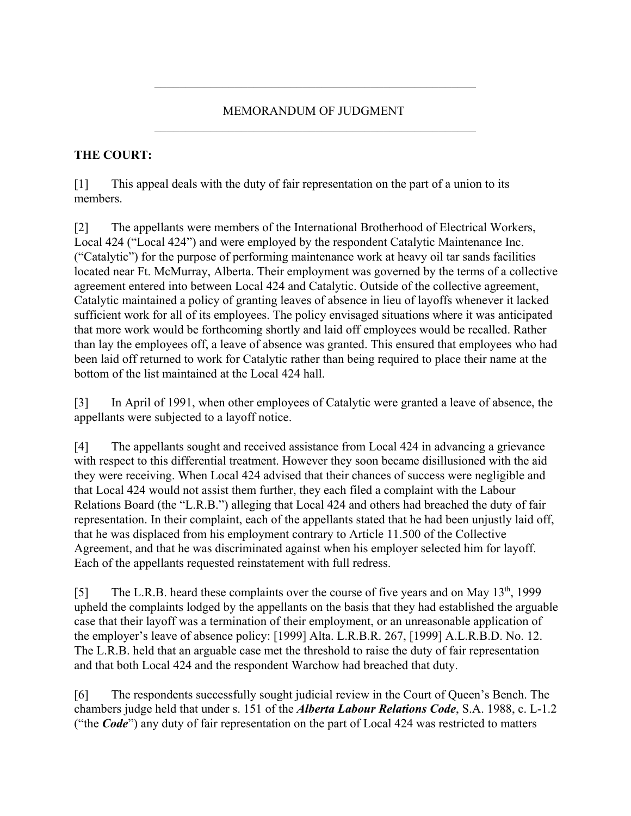## MEMORANDUM OF JUDGMENT  $\mathcal{L}_\text{max}$  , and the contract of the contract of the contract of the contract of the contract of the contract of

 $\mathcal{L}_\text{max}$  , and the contract of the contract of the contract of the contract of the contract of the contract of

# **THE COURT:**

[1] This appeal deals with the duty of fair representation on the part of a union to its members.

[2] The appellants were members of the International Brotherhood of Electrical Workers, Local 424 ("Local 424") and were employed by the respondent Catalytic Maintenance Inc. ("Catalytic") for the purpose of performing maintenance work at heavy oil tar sands facilities located near Ft. McMurray, Alberta. Their employment was governed by the terms of a collective agreement entered into between Local 424 and Catalytic. Outside of the collective agreement, Catalytic maintained a policy of granting leaves of absence in lieu of layoffs whenever it lacked sufficient work for all of its employees. The policy envisaged situations where it was anticipated that more work would be forthcoming shortly and laid off employees would be recalled. Rather than lay the employees off, a leave of absence was granted. This ensured that employees who had been laid off returned to work for Catalytic rather than being required to place their name at the bottom of the list maintained at the Local 424 hall.

[3] In April of 1991, when other employees of Catalytic were granted a leave of absence, the appellants were subjected to a layoff notice.

[4] The appellants sought and received assistance from Local 424 in advancing a grievance with respect to this differential treatment. However they soon became disillusioned with the aid they were receiving. When Local 424 advised that their chances of success were negligible and that Local 424 would not assist them further, they each filed a complaint with the Labour Relations Board (the "L.R.B.") alleging that Local 424 and others had breached the duty of fair representation. In their complaint, each of the appellants stated that he had been unjustly laid off, that he was displaced from his employment contrary to Article 11.500 of the Collective Agreement, and that he was discriminated against when his employer selected him for layoff. Each of the appellants requested reinstatement with full redress.

[5] The L.R.B. heard these complaints over the course of five years and on May 13<sup>th</sup>, 1999 upheld the complaints lodged by the appellants on the basis that they had established the arguable case that their layoff was a termination of their employment, or an unreasonable application of the employer's leave of absence policy: [1999] Alta. L.R.B.R. 267, [1999] A.L.R.B.D. No. 12. The L.R.B. held that an arguable case met the threshold to raise the duty of fair representation and that both Local 424 and the respondent Warchow had breached that duty.

[6] The respondents successfully sought judicial review in the Court of Queen's Bench. The chambers judge held that under s. 151 of the *Alberta Labour Relations Code*, S.A. 1988, c. L-1.2 ("the *Code*") any duty of fair representation on the part of Local 424 was restricted to matters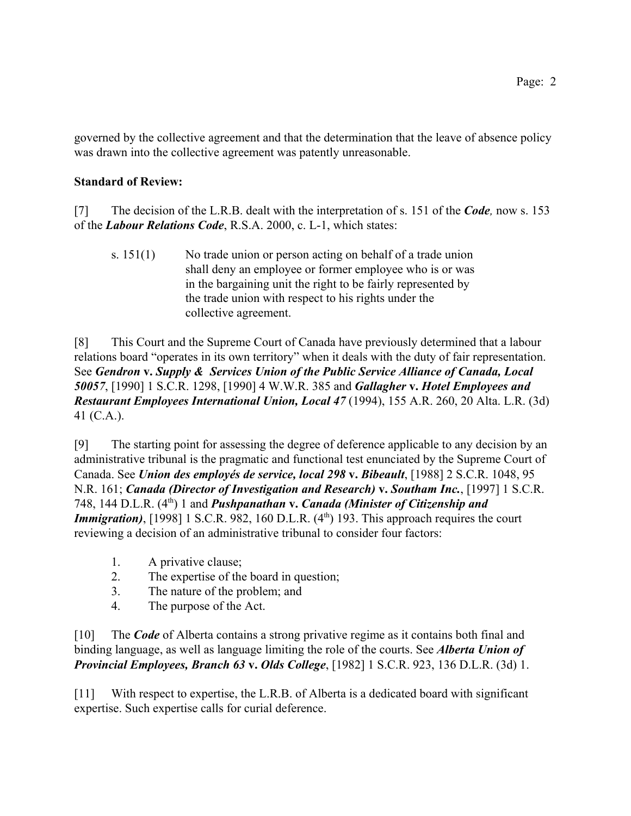governed by the collective agreement and that the determination that the leave of absence policy was drawn into the collective agreement was patently unreasonable.

## **Standard of Review:**

[7] The decision of the L.R.B. dealt with the interpretation of s. 151 of the *Code,* now s. 153 of the *Labour Relations Code*, R.S.A. 2000, c. L-1, which states:

s.  $151(1)$  No trade union or person acting on behalf of a trade union shall deny an employee or former employee who is or was in the bargaining unit the right to be fairly represented by the trade union with respect to his rights under the collective agreement.

[8] This Court and the Supreme Court of Canada have previously determined that a labour relations board "operates in its own territory" when it deals with the duty of fair representation. See *Gendron* **v.** *Supply & Services Union of the Public Service Alliance of Canada, Local 50057*, [1990] 1 S.C.R. 1298, [1990] 4 W.W.R. 385 and *Gallagher* **v.** *Hotel Employees and Restaurant Employees International Union, Local 47* (1994), 155 A.R. 260, 20 Alta. L.R. (3d) 41 (C.A.).

[9] The starting point for assessing the degree of deference applicable to any decision by an administrative tribunal is the pragmatic and functional test enunciated by the Supreme Court of Canada. See *Union des employés de service, local 298* **v.** *Bibeault*, [1988] 2 S.C.R. 1048, 95 N.R. 161; *Canada (Director of Investigation and Research)* **v.** *Southam Inc.*, [1997] 1 S.C.R. 748, 144 D.L.R. (4<sup>th</sup>) 1 and *Pushpanathan* **v.** *Canada (Minister of Citizenship and Immigration*), [1998] 1 S.C.R. 982, 160 D.L.R.  $(4<sup>th</sup>)$  193. This approach requires the court reviewing a decision of an administrative tribunal to consider four factors:

- 1. A privative clause;
- 2. The expertise of the board in question;
- 3. The nature of the problem; and
- 4. The purpose of the Act.

[10] The *Code* of Alberta contains a strong privative regime as it contains both final and binding language, as well as language limiting the role of the courts. See *Alberta Union of Provincial Employees, Branch 63* **v.** *Olds College*, [1982] 1 S.C.R. 923, 136 D.L.R. (3d) 1.

[11] With respect to expertise, the L.R.B. of Alberta is a dedicated board with significant expertise. Such expertise calls for curial deference.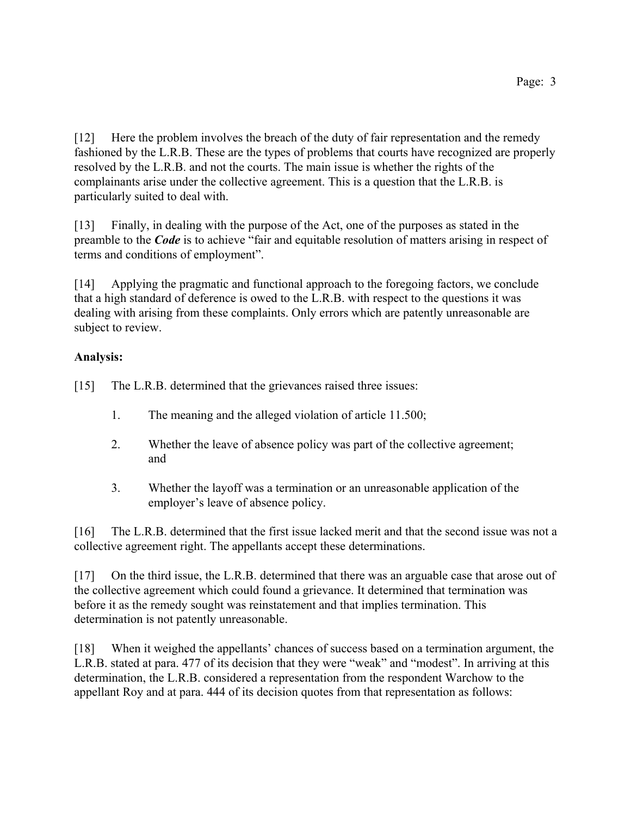[12] Here the problem involves the breach of the duty of fair representation and the remedy fashioned by the L.R.B. These are the types of problems that courts have recognized are properly resolved by the L.R.B. and not the courts. The main issue is whether the rights of the complainants arise under the collective agreement. This is a question that the L.R.B. is particularly suited to deal with.

[13] Finally, in dealing with the purpose of the Act, one of the purposes as stated in the preamble to the *Code* is to achieve "fair and equitable resolution of matters arising in respect of terms and conditions of employment".

[14] Applying the pragmatic and functional approach to the foregoing factors, we conclude that a high standard of deference is owed to the L.R.B. with respect to the questions it was dealing with arising from these complaints. Only errors which are patently unreasonable are subject to review.

# **Analysis:**

[15] The L.R.B. determined that the grievances raised three issues:

- 1. The meaning and the alleged violation of article 11.500;
- 2. Whether the leave of absence policy was part of the collective agreement; and
- 3. Whether the layoff was a termination or an unreasonable application of the employer's leave of absence policy.

[16] The L.R.B. determined that the first issue lacked merit and that the second issue was not a collective agreement right. The appellants accept these determinations.

[17] On the third issue, the L.R.B. determined that there was an arguable case that arose out of the collective agreement which could found a grievance. It determined that termination was before it as the remedy sought was reinstatement and that implies termination. This determination is not patently unreasonable.

[18] When it weighed the appellants' chances of success based on a termination argument, the L.R.B. stated at para. 477 of its decision that they were "weak" and "modest". In arriving at this determination, the L.R.B. considered a representation from the respondent Warchow to the appellant Roy and at para. 444 of its decision quotes from that representation as follows: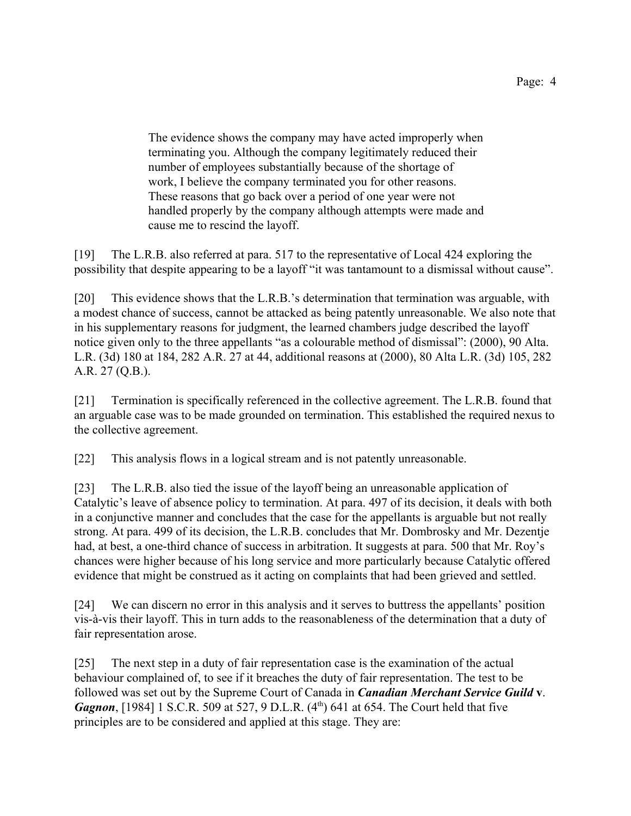The evidence shows the company may have acted improperly when terminating you. Although the company legitimately reduced their number of employees substantially because of the shortage of work, I believe the company terminated you for other reasons. These reasons that go back over a period of one year were not handled properly by the company although attempts were made and cause me to rescind the layoff.

[19] The L.R.B. also referred at para. 517 to the representative of Local 424 exploring the possibility that despite appearing to be a layoff "it was tantamount to a dismissal without cause".

[20] This evidence shows that the L.R.B.'s determination that termination was arguable, with a modest chance of success, cannot be attacked as being patently unreasonable. We also note that in his supplementary reasons for judgment, the learned chambers judge described the layoff notice given only to the three appellants "as a colourable method of dismissal": (2000), 90 Alta. L.R. (3d) 180 at 184, 282 A.R. 27 at 44, additional reasons at (2000), 80 Alta L.R. (3d) 105, 282 A.R. 27 (Q.B.).

[21] Termination is specifically referenced in the collective agreement. The L.R.B. found that an arguable case was to be made grounded on termination. This established the required nexus to the collective agreement.

[22] This analysis flows in a logical stream and is not patently unreasonable.

[23] The L.R.B. also tied the issue of the layoff being an unreasonable application of Catalytic's leave of absence policy to termination. At para. 497 of its decision, it deals with both in a conjunctive manner and concludes that the case for the appellants is arguable but not really strong. At para. 499 of its decision, the L.R.B. concludes that Mr. Dombrosky and Mr. Dezentje had, at best, a one-third chance of success in arbitration. It suggests at para. 500 that Mr. Roy's chances were higher because of his long service and more particularly because Catalytic offered evidence that might be construed as it acting on complaints that had been grieved and settled.

[24] We can discern no error in this analysis and it serves to buttress the appellants' position vis-à-vis their layoff. This in turn adds to the reasonableness of the determination that a duty of fair representation arose.

[25] The next step in a duty of fair representation case is the examination of the actual behaviour complained of, to see if it breaches the duty of fair representation. The test to be followed was set out by the Supreme Court of Canada in *Canadian Merchant Service Guild* **v**. *Gagnon*, [1984] 1 S.C.R. 509 at 527, 9 D.L.R. (4<sup>th</sup>) 641 at 654. The Court held that five principles are to be considered and applied at this stage. They are: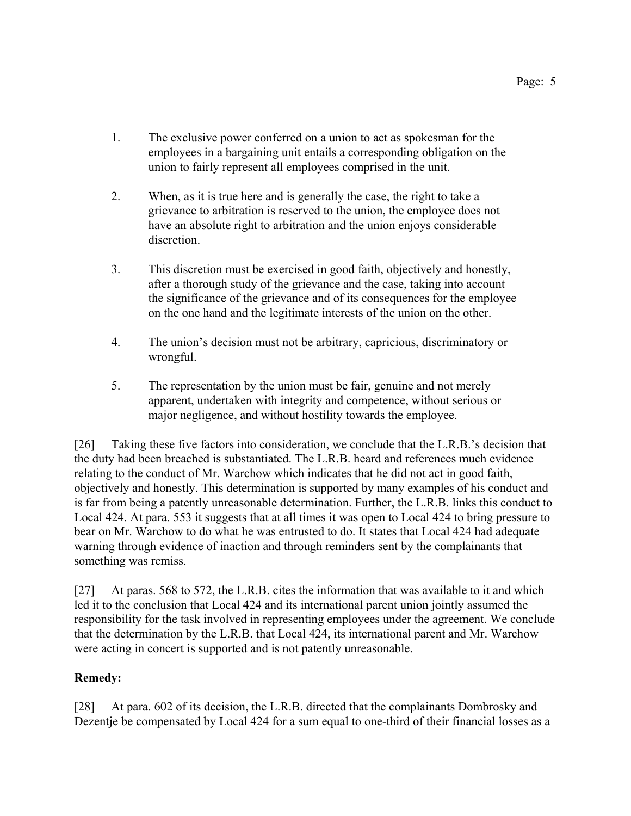- 1. The exclusive power conferred on a union to act as spokesman for the employees in a bargaining unit entails a corresponding obligation on the union to fairly represent all employees comprised in the unit.
- 2. When, as it is true here and is generally the case, the right to take a grievance to arbitration is reserved to the union, the employee does not have an absolute right to arbitration and the union enjoys considerable discretion.
- 3. This discretion must be exercised in good faith, objectively and honestly, after a thorough study of the grievance and the case, taking into account the significance of the grievance and of its consequences for the employee on the one hand and the legitimate interests of the union on the other.
- 4. The union's decision must not be arbitrary, capricious, discriminatory or wrongful.
- 5. The representation by the union must be fair, genuine and not merely apparent, undertaken with integrity and competence, without serious or major negligence, and without hostility towards the employee.

[26] Taking these five factors into consideration, we conclude that the L.R.B.'s decision that the duty had been breached is substantiated. The L.R.B. heard and references much evidence relating to the conduct of Mr. Warchow which indicates that he did not act in good faith, objectively and honestly. This determination is supported by many examples of his conduct and is far from being a patently unreasonable determination. Further, the L.R.B. links this conduct to Local 424. At para. 553 it suggests that at all times it was open to Local 424 to bring pressure to bear on Mr. Warchow to do what he was entrusted to do. It states that Local 424 had adequate warning through evidence of inaction and through reminders sent by the complainants that something was remiss.

[27] At paras. 568 to 572, the L.R.B. cites the information that was available to it and which led it to the conclusion that Local 424 and its international parent union jointly assumed the responsibility for the task involved in representing employees under the agreement. We conclude that the determination by the L.R.B. that Local 424, its international parent and Mr. Warchow were acting in concert is supported and is not patently unreasonable.

## **Remedy:**

[28] At para. 602 of its decision, the L.R.B. directed that the complainants Dombrosky and Dezentje be compensated by Local 424 for a sum equal to one-third of their financial losses as a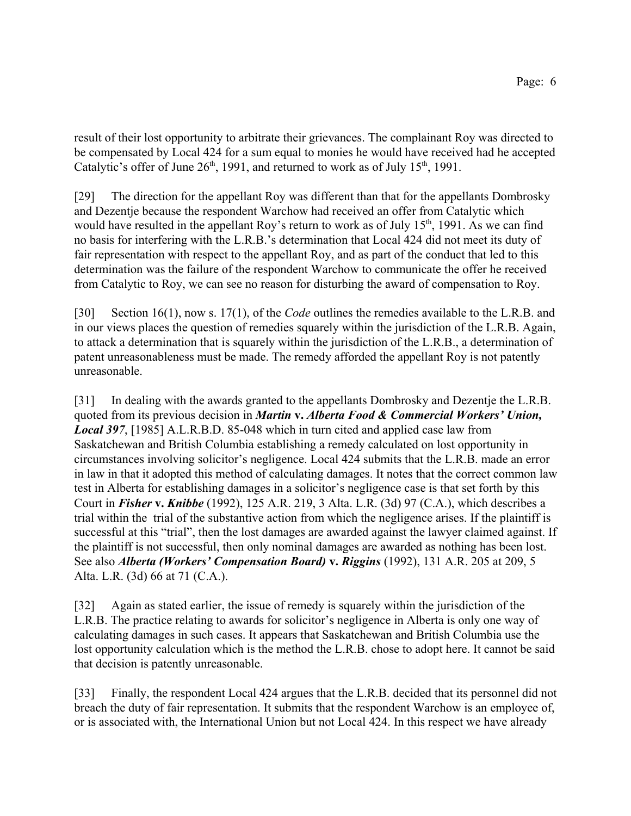result of their lost opportunity to arbitrate their grievances. The complainant Roy was directed to be compensated by Local 424 for a sum equal to monies he would have received had he accepted Catalytic's offer of June  $26<sup>th</sup>$ , 1991, and returned to work as of July 15<sup>th</sup>, 1991.

[29] The direction for the appellant Roy was different than that for the appellants Dombrosky and Dezentje because the respondent Warchow had received an offer from Catalytic which would have resulted in the appellant Roy's return to work as of July  $15<sup>th</sup>$ , 1991. As we can find no basis for interfering with the L.R.B.'s determination that Local 424 did not meet its duty of fair representation with respect to the appellant Roy, and as part of the conduct that led to this determination was the failure of the respondent Warchow to communicate the offer he received from Catalytic to Roy, we can see no reason for disturbing the award of compensation to Roy.

[30] Section 16(1), now s. 17(1), of the *Code* outlines the remedies available to the L.R.B. and in our views places the question of remedies squarely within the jurisdiction of the L.R.B. Again, to attack a determination that is squarely within the jurisdiction of the L.R.B., a determination of patent unreasonableness must be made. The remedy afforded the appellant Roy is not patently unreasonable.

[31] In dealing with the awards granted to the appellants Dombrosky and Dezentje the L.R.B. quoted from its previous decision in *Martin* **v.** *Alberta Food & Commercial Workers' Union, Local 397*, [1985] A.L.R.B.D. 85-048 which in turn cited and applied case law from Saskatchewan and British Columbia establishing a remedy calculated on lost opportunity in circumstances involving solicitor's negligence. Local 424 submits that the L.R.B. made an error in law in that it adopted this method of calculating damages. It notes that the correct common law test in Alberta for establishing damages in a solicitor's negligence case is that set forth by this Court in *Fisher* **v.** *Knibbe* (1992), 125 A.R. 219, 3 Alta. L.R. (3d) 97 (C.A.), which describes a trial within the trial of the substantive action from which the negligence arises. If the plaintiff is successful at this "trial", then the lost damages are awarded against the lawyer claimed against. If the plaintiff is not successful, then only nominal damages are awarded as nothing has been lost. See also *Alberta (Workers' Compensation Board)* **v.** *Riggins* (1992), 131 A.R. 205 at 209, 5 Alta. L.R. (3d) 66 at 71 (C.A.).

[32] Again as stated earlier, the issue of remedy is squarely within the jurisdiction of the L.R.B. The practice relating to awards for solicitor's negligence in Alberta is only one way of calculating damages in such cases. It appears that Saskatchewan and British Columbia use the lost opportunity calculation which is the method the L.R.B. chose to adopt here. It cannot be said that decision is patently unreasonable.

[33] Finally, the respondent Local 424 argues that the L.R.B. decided that its personnel did not breach the duty of fair representation. It submits that the respondent Warchow is an employee of, or is associated with, the International Union but not Local 424. In this respect we have already